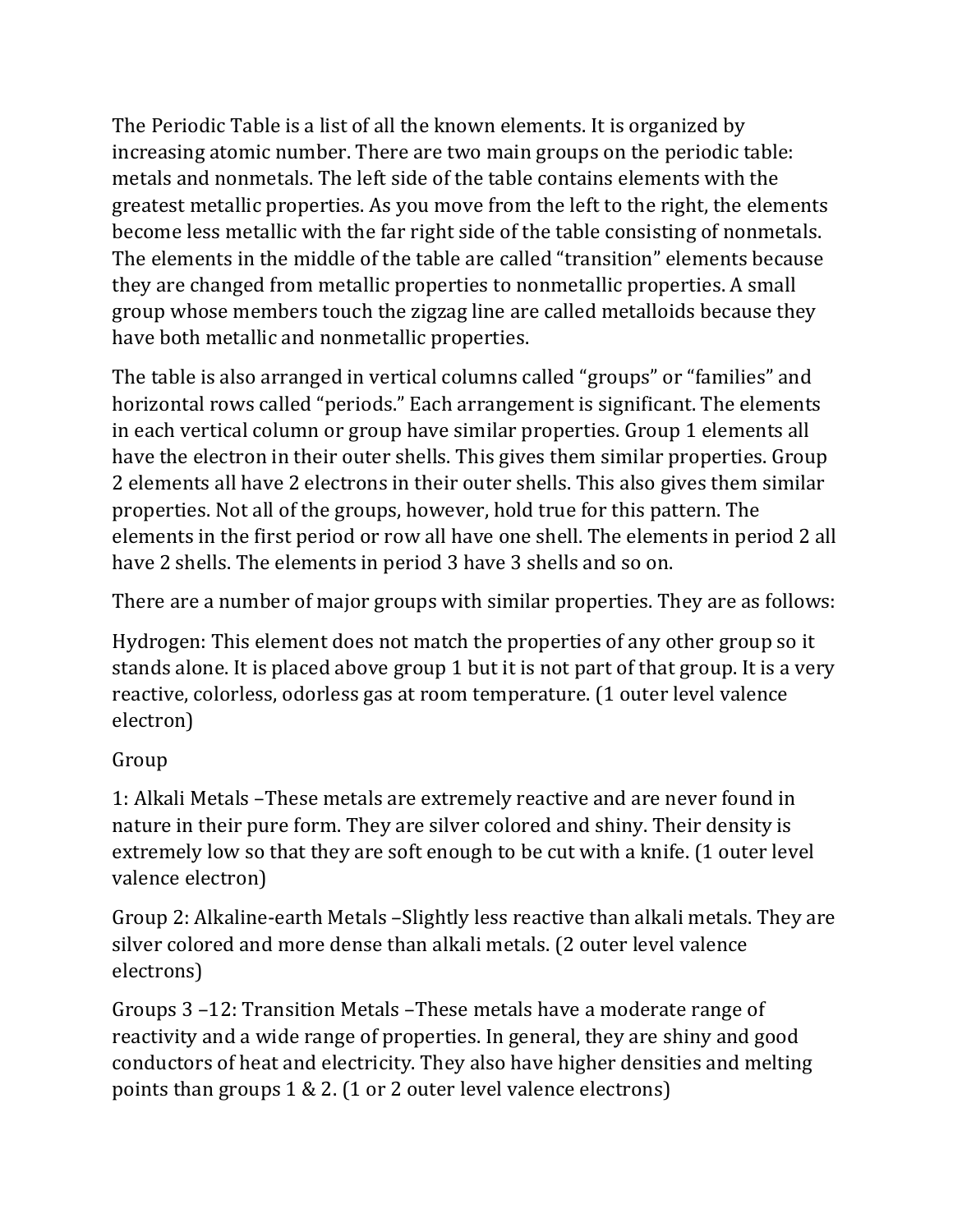The Periodic Table is a list of all the known elements. It is organized by increasing atomic number. There are two main groups on the periodic table: metals and nonmetals. The left side of the table contains elements with the greatest metallic properties. As you move from the left to the right, the elements become less metallic with the far right side of the table consisting of nonmetals. The elements in the middle of the table are called "transition" elements because they are changed from metallic properties to nonmetallic properties. A small group whose members touch the zigzag line are called metalloids because they have both metallic and nonmetallic properties.

The table is also arranged in vertical columns called "groups" or "families" and horizontal rows called "periods." Each arrangement is significant. The elements in each vertical column or group have similar properties. Group 1 elements all have the electron in their outer shells. This gives them similar properties. Group 2 elements all have 2 electrons in their outer shells. This also gives them similar properties. Not all of the groups, however, hold true for this pattern. The elements in the first period or row all have one shell. The elements in period 2 all have 2 shells. The elements in period 3 have 3 shells and so on.

There are a number of major groups with similar properties. They are as follows:

Hydrogen: This element does not match the properties of any other group so it stands alone. It is placed above group 1 but it is not part of that group. It is a very reactive, colorless, odorless gas at room temperature. (1 outer level valence electron) 

## Group

1: Alkali Metals –These metals are extremely reactive and are never found in nature in their pure form. They are silver colored and shiny. Their density is extremely low so that they are soft enough to be cut with a knife. (1 outer level valence electron)

Group 2: Alkaline-earth Metals -Slightly less reactive than alkali metals. They are silver colored and more dense than alkali metals. (2 outer level valence electrons)

Groups 3 –12: Transition Metals –These metals have a moderate range of reactivity and a wide range of properties. In general, they are shiny and good conductors of heat and electricity. They also have higher densities and melting points than groups  $1 \& 2$ . (1 or 2 outer level valence electrons)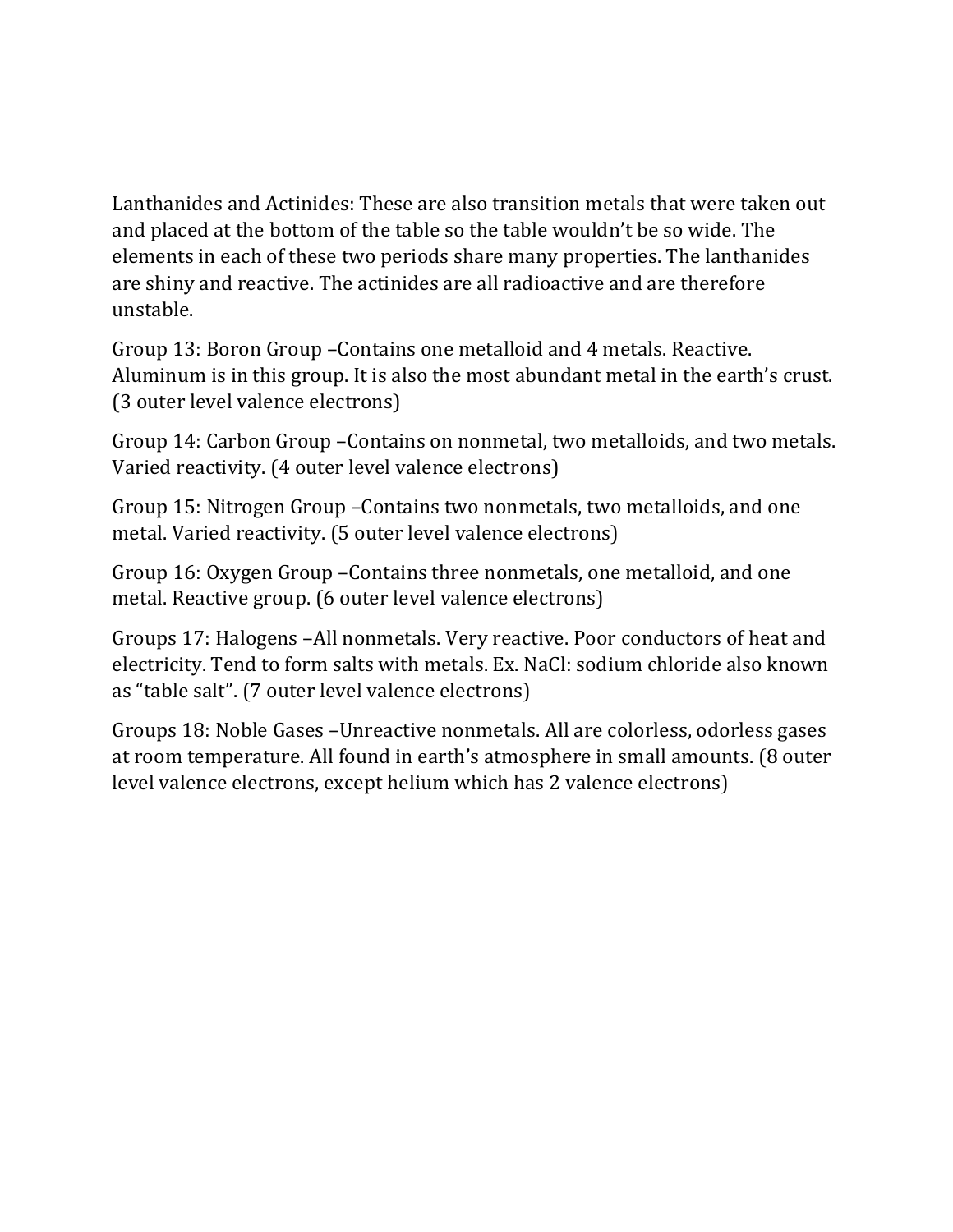Lanthanides and Actinides: These are also transition metals that were taken out and placed at the bottom of the table so the table wouldn't be so wide. The elements in each of these two periods share many properties. The lanthanides are shiny and reactive. The actinides are all radioactive and are therefore unstable.

Group 13: Boron Group - Contains one metalloid and 4 metals. Reactive. Aluminum is in this group. It is also the most abundant metal in the earth's crust. (3 outer level valence electrons)

Group 14: Carbon Group - Contains on nonmetal, two metalloids, and two metals. Varied reactivity. (4 outer level valence electrons)

Group 15: Nitrogen Group – Contains two nonmetals, two metalloids, and one metal. Varied reactivity. (5 outer level valence electrons)

Group 16: Oxygen Group – Contains three nonmetals, one metalloid, and one metal. Reactive group. (6 outer level valence electrons)

Groups 17: Halogens -All nonmetals. Very reactive. Poor conductors of heat and electricity. Tend to form salts with metals. Ex. NaCl: sodium chloride also known as "table salt". (7 outer level valence electrons)

Groups 18: Noble Gases – Unreactive nonmetals. All are colorless, odorless gases at room temperature. All found in earth's atmosphere in small amounts. (8 outer level valence electrons, except helium which has 2 valence electrons)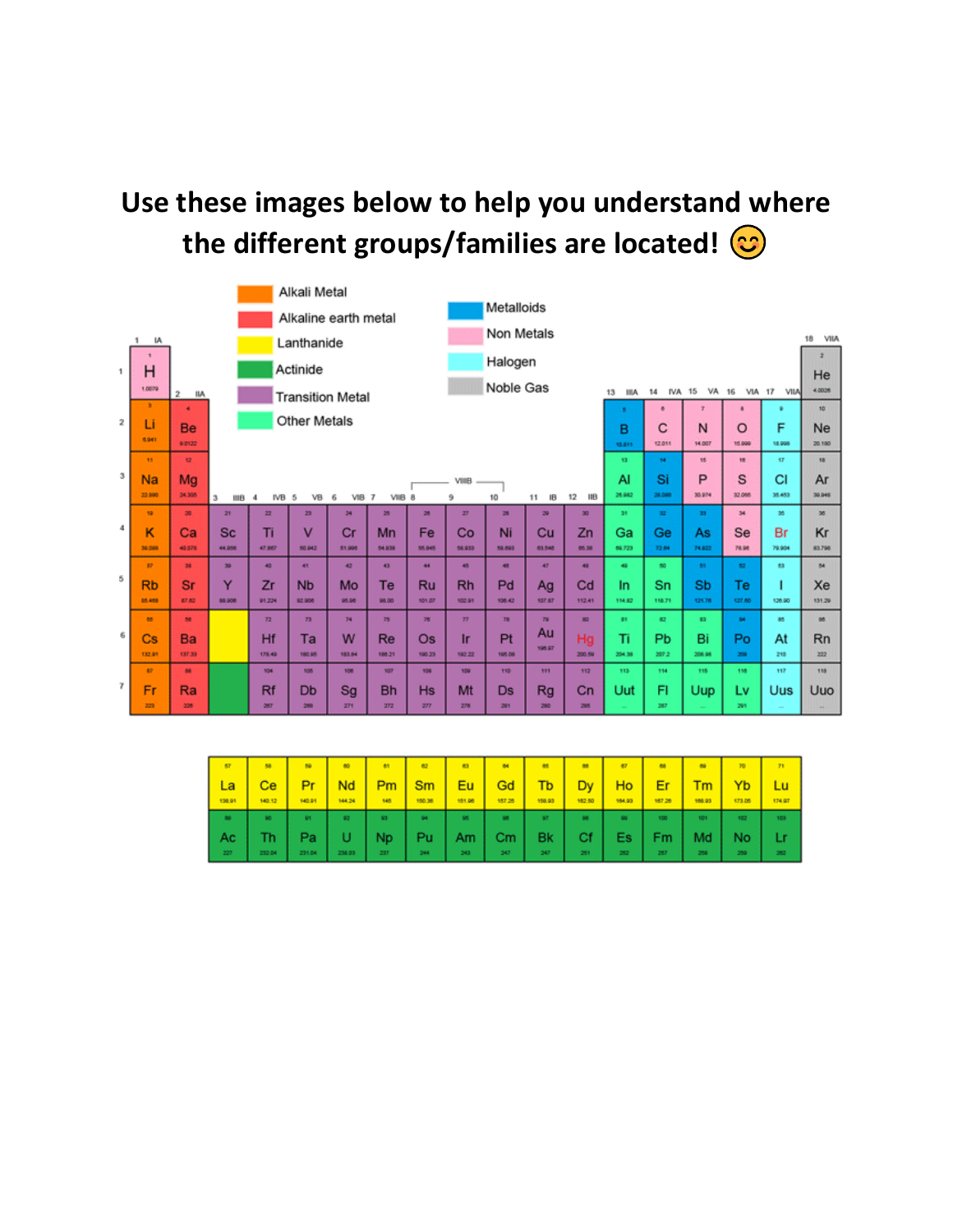## Use these images below to help you understand where the different groups/families are located!  $\bigcirc$

|                      | Alkali Metal            |                     |                                                                                                      |                                   |                         |            |           |                  |           |                                                                                            |          |                 |           |                 |              |              |        |           |  |
|----------------------|-------------------------|---------------------|------------------------------------------------------------------------------------------------------|-----------------------------------|-------------------------|------------|-----------|------------------|-----------|--------------------------------------------------------------------------------------------|----------|-----------------|-----------|-----------------|--------------|--------------|--------|-----------|--|
| Alkaline earth metal |                         |                     |                                                                                                      |                                   |                         | Metalloids |           |                  |           |                                                                                            |          |                 |           |                 |              |              |        |           |  |
|                      | IA.<br>т.<br>Lanthanide |                     |                                                                                                      |                                   |                         |            |           | Non Metals<br>18 |           |                                                                                            |          |                 |           |                 |              |              |        |           |  |
|                      |                         |                     |                                                                                                      |                                   |                         |            |           |                  |           |                                                                                            |          |                 |           |                 |              |              |        |           |  |
| 1                    | Η                       | Actinide            |                                                                                                      |                                   |                         |            | Halogen   |                  |           |                                                                                            |          |                 |           |                 |              |              |        |           |  |
|                      | 1,0079                  | $\bar{2}$<br>IIA    | <b>Transition Metal</b>                                                                              |                                   |                         |            |           |                  |           | He<br>Noble Gas<br>4.0026<br><b>IVA 15</b><br>VA 16 VIA 17 VIIA<br>14<br>13<br><b>IIIA</b> |          |                 |           |                 |              |              |        |           |  |
|                      | ٠                       | ٠                   | Ŧ.<br>$\blacksquare$<br>۰<br>٠<br>$\mathbf{S}$                                                       |                                   |                         |            |           |                  |           |                                                                                            |          |                 |           |                 | 10           |              |        |           |  |
| $\mathbf{2}$         | Li<br>6.941             | <b>Be</b><br>9.0122 | <b>Other Metals</b><br>F<br>C<br>N<br>$\circ$<br>в<br>14.007<br>12.011<br>15,999<br>18,998<br>10.811 |                                   |                         |            |           |                  |           |                                                                                            |          |                 |           |                 | Ne<br>20.180 |              |        |           |  |
|                      | 11                      | 12                  |                                                                                                      | 15<br>16<br>18<br>13<br>54<br>57  |                         |            |           |                  |           |                                                                                            |          |                 |           |                 |              |              |        |           |  |
| $\mathfrak{B}$       | <b>Na</b>               | Mg                  |                                                                                                      | P<br>S<br>CI<br>Si<br>AI<br>VIIIB |                         |            |           |                  |           |                                                                                            |          |                 |           |                 |              |              | Ar     |           |  |
|                      | 22.990                  | 34,305              | з<br>IIIB                                                                                            | IVB 5<br>$\overline{4}$           | $VB$ 6                  | VIB 7      | VIB 8     |                  | э         | 10                                                                                         | IB<br>11 | 12<br>$-$ IIB   | 26.982    | 28,080          | 30.974       | 32,065       | 35,453 | 30,048    |  |
|                      | 19                      | 20                  | 21                                                                                                   | 22                                | 23                      | 24         | 25        | 26               | 27        | 28                                                                                         | 29       | 30 <sub>1</sub> | 35        | 32 <sup>°</sup> | 33           | 34           | 35     | 36        |  |
| $\ddot{4}$           | к                       | Ca                  | <b>Sc</b>                                                                                            | Tì                                | $\overline{\mathsf{v}}$ | Cr         | Mn        | Fe               | Co        | Ni                                                                                         | Cu       | Zn              | Gа        | Ge              | As           | Se           | Br     | Kr        |  |
|                      | 30,000                  | 40.078              | 44.956                                                                                               | 47,887                            | 50.942                  | 51,998     | 54.938    | 55, 845          | 58.933    | 58.893                                                                                     | 63,548   | 05.38           | 66.723    | 72.64           | 74.922       | 78.96        | 79,904 | 83,798    |  |
|                      | 37 <sup>°</sup>         | 38                  | 30                                                                                                   | 48                                | 41                      | 42         | 43        | 44               | 45        | 48                                                                                         | 4P       | 48              | 49        | 60              | 65           | 62           | 63     | 64        |  |
| 5                    | <b>Rb</b>               | <b>Sr</b>           | Y                                                                                                    | Zr                                | <b>N<sub>b</sub></b>    | Mo         | Te        | <b>Ru</b>        | <b>Rh</b> | Pd                                                                                         | Ag       | Cd              | In.       | Sn              | <b>Sb</b>    | Тe           | ı      | Xe        |  |
|                      | 85,458                  | 67.62               | 88,906                                                                                               | 91.224                            | 92.906                  | 95.96      | 98.00     | 101.07           | 102.91    | 106.42                                                                                     | 937.87   | 112.41          | 154.82    | 118.71          | 121.76       | 127.60       | 126.90 | 131.29    |  |
|                      | 88                      | 88                  |                                                                                                      | 72.                               | 73                      | 74         | 75        | 76               | 77        | 70 <sub>1</sub>                                                                            | 79       | 80              | $\bullet$ | 42              | 40           | $\mathbf{H}$ | 85     | <b>BB</b> |  |
| 6                    | Cs                      | Ba                  |                                                                                                      | Hf                                | Ta                      | W          | Re        | Os.              | <b>Ir</b> | Pt                                                                                         | Au       | Hg              | Ti        | Pb              | Bi           | Po           | At     | <b>Rn</b> |  |
|                      | 132.91                  | 137.33              |                                                                                                      | 178.40                            | 180.95                  | 183.84     | 188.21    | 190.23           | 192.22    | 105.08                                                                                     | 196,97   | 200.59          | 204.58    | 207.2           | 208.98       | 200          | 215    | 222       |  |
|                      | $\mathbf{r}$            | m.                  |                                                                                                      | 104                               | 105                     | 108        | spr.      | 108              | 109       | 110                                                                                        | 111      | 112             | 113       | 114             | 115          | 118          | 117    | 118       |  |
| $\overline{7}$       | Fr                      | Ra                  |                                                                                                      | Rf                                | Db                      | Sg         | <b>Bh</b> | <b>Hs</b>        | Mt        | <b>Ds</b>                                                                                  | Rg       | Cn              | Uut       | FI              | Uup          | L٧           | Uus    | Uuo       |  |
|                      | 223                     | 228                 |                                                                                                      | 267                               | 288                     | 271        | 272       | 277              | 276       | 281                                                                                        | 280      | 285             |           | 287             |              | 291          |        |           |  |

| <b>AT</b>     | 58     | 66        | <b>BO</b> | 61  | $rac{1}{2}$   | <b>m</b>  | $\bullet$ | 86     | $\bullet$ | $\bullet$ |        |        |        | 71     |
|---------------|--------|-----------|-----------|-----|---------------|-----------|-----------|--------|-----------|-----------|--------|--------|--------|--------|
| La            | Ce     | Pr        | Nd        | Pm  | Sm            | Eu        | Gd        | Tb     | Dy        | Ho        | Er     | Гm     | YЬ     | Lu     |
| 130.91        | 140.12 | 140.91    | 144.24    | 545 | 150.36        | 151.95    | 157.25    | 150.93 | 162.50    | 104.93    | 567.26 | 156.93 | 173.05 | 174.97 |
| $\rightarrow$ | se.    | <b>DT</b> | 92        | 10  | $\mathbf{04}$ | <b>MS</b> | $\bullet$ | 37     | 98        | 90        | 100    | 101    | 102    | 103    |
| <b>Ac</b>     | Th     | Pa        |           | Np  | Pu            | Am        | Сm        | Bk     | Сf        | Es        | Fm     | Md     | No     |        |
| 227           | 232.04 | 231.04    | 238.03    | 237 | 244           | 243       | 247       | 247    | 251       | 252       | 257    | 258    | 259    | 262    |